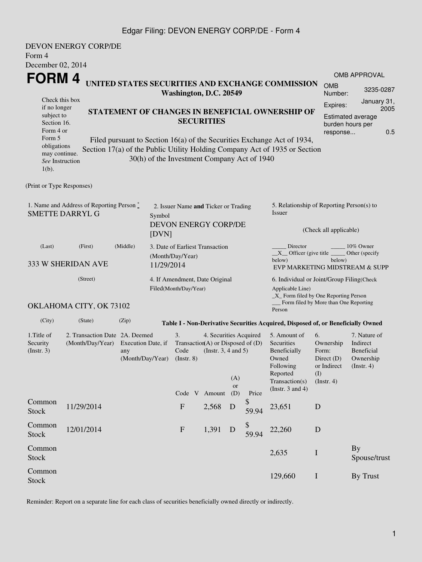## Edgar Filing: DEVON ENERGY CORP/DE - Form 4

| Form 4                                                                                                                                                                                                                                                              | <b>DEVON ENERGY CORP/DE</b>         |                                                                                                     |                       |                                                     |  |                                                                                         |           |                      |                                                                                                                                                                                                          |             |                                                                                                    |                                                                                |  |
|---------------------------------------------------------------------------------------------------------------------------------------------------------------------------------------------------------------------------------------------------------------------|-------------------------------------|-----------------------------------------------------------------------------------------------------|-----------------------|-----------------------------------------------------|--|-----------------------------------------------------------------------------------------|-----------|----------------------|----------------------------------------------------------------------------------------------------------------------------------------------------------------------------------------------------------|-------------|----------------------------------------------------------------------------------------------------|--------------------------------------------------------------------------------|--|
| December 02, 2014                                                                                                                                                                                                                                                   |                                     |                                                                                                     |                       |                                                     |  |                                                                                         |           |                      |                                                                                                                                                                                                          |             |                                                                                                    | <b>OMB APPROVAL</b>                                                            |  |
| FORM 4<br>UNITED STATES SECURITIES AND EXCHANGE COMMISSION<br>Washington, D.C. 20549                                                                                                                                                                                |                                     |                                                                                                     |                       |                                                     |  |                                                                                         |           |                      |                                                                                                                                                                                                          |             | <b>OMB</b><br>Number:                                                                              | 3235-0287                                                                      |  |
| Check this box<br>if no longer<br>subject to<br>Section 16.<br>Form 4 or<br>Form 5                                                                                                                                                                                  |                                     | STATEMENT OF CHANGES IN BENEFICIAL OWNERSHIP OF<br><b>SECURITIES</b>                                |                       |                                                     |  |                                                                                         |           |                      |                                                                                                                                                                                                          |             | January 31,<br>Expires:<br>2005<br><b>Estimated average</b><br>burden hours per<br>0.5<br>response |                                                                                |  |
| Filed pursuant to Section 16(a) of the Securities Exchange Act of 1934,<br>obligations<br>Section 17(a) of the Public Utility Holding Company Act of 1935 or Section<br>may continue.<br>30(h) of the Investment Company Act of 1940<br>See Instruction<br>$1(b)$ . |                                     |                                                                                                     |                       |                                                     |  |                                                                                         |           |                      |                                                                                                                                                                                                          |             |                                                                                                    |                                                                                |  |
| (Print or Type Responses)                                                                                                                                                                                                                                           |                                     |                                                                                                     |                       |                                                     |  |                                                                                         |           |                      |                                                                                                                                                                                                          |             |                                                                                                    |                                                                                |  |
| 1. Name and Address of Reporting Person *<br><b>SMETTE DARRYL G</b><br>Symbol<br>[DVN]                                                                                                                                                                              |                                     |                                                                                                     |                       |                                                     |  | 2. Issuer Name and Ticker or Trading<br>DEVON ENERGY CORP/DE                            |           |                      | 5. Relationship of Reporting Person(s) to<br>Issuer<br>(Check all applicable)                                                                                                                            |             |                                                                                                    |                                                                                |  |
| (Middle)<br>(Last)<br>(First)<br>333 W SHERIDAN AVE<br>11/29/2014                                                                                                                                                                                                   |                                     |                                                                                                     |                       | 3. Date of Earliest Transaction<br>(Month/Day/Year) |  |                                                                                         |           |                      | Director<br>10% Owner<br>$X$ Officer (give title $\overline{\phantom{a}}$<br>Other (specify)<br>below)<br>below)<br>EVP MARKETING MIDSTREAM & SUPP                                                       |             |                                                                                                    |                                                                                |  |
|                                                                                                                                                                                                                                                                     | (Street)<br>OKLAHOMA CITY, OK 73102 |                                                                                                     | Filed(Month/Day/Year) |                                                     |  | 4. If Amendment, Date Original                                                          |           |                      | 6. Individual or Joint/Group Filing(Check<br>Applicable Line)<br>$\_X$ Form filed by One Reporting Person<br>Form filed by More than One Reporting                                                       |             |                                                                                                    |                                                                                |  |
| (City)                                                                                                                                                                                                                                                              | (State)                             | (Zip)                                                                                               |                       |                                                     |  |                                                                                         |           |                      | Person                                                                                                                                                                                                   |             |                                                                                                    |                                                                                |  |
| 1. Title of<br>Security<br>(Insert. 3)                                                                                                                                                                                                                              | (Month/Day/Year)                    | 2. Transaction Date 2A. Deemed<br>Execution Date, if<br>any<br>(Month/Day/Year)<br>$($ Instr. 8 $)$ |                       |                                                     |  | 4. Securities Acquired<br>Transaction(A) or Disposed of (D)<br>(Instr. $3, 4$ and $5$ ) | (A)<br>or |                      | Table I - Non-Derivative Securities Acquired, Disposed of, or Beneficially Owned<br>6.<br>5. Amount of<br>Securities<br>Beneficially<br>Form:<br>Owned<br>Following<br>Reported<br>(I)<br>Transaction(s) |             | Ownership<br>Direct $(D)$<br>or Indirect<br>(Insert. 4)                                            | 7. Nature of<br>Indirect<br><b>Beneficial</b><br>Ownership<br>$($ Instr. 4 $)$ |  |
| Common<br><b>Stock</b>                                                                                                                                                                                                                                              | 11/29/2014                          |                                                                                                     |                       | $\mathbf F$                                         |  | Code V Amount<br>2,568                                                                  | (D)<br>D  | Price<br>\$<br>59.94 | (Instr. $3$ and $4$ )<br>23,651                                                                                                                                                                          | D           |                                                                                                    |                                                                                |  |
| Common<br><b>Stock</b>                                                                                                                                                                                                                                              | 12/01/2014                          |                                                                                                     |                       | $\mathbf{F}$                                        |  | 1,391                                                                                   | D         | 59.94                | 22,260                                                                                                                                                                                                   | D           |                                                                                                    |                                                                                |  |
| Common<br><b>Stock</b>                                                                                                                                                                                                                                              |                                     |                                                                                                     |                       |                                                     |  |                                                                                         |           |                      | 2,635                                                                                                                                                                                                    | $\mathbf I$ |                                                                                                    | <b>By</b><br>Spouse/trust                                                      |  |
| Common<br><b>Stock</b>                                                                                                                                                                                                                                              |                                     |                                                                                                     |                       |                                                     |  |                                                                                         |           |                      | 129,660                                                                                                                                                                                                  | $\mathbf I$ |                                                                                                    | By Trust                                                                       |  |

Reminder: Report on a separate line for each class of securities beneficially owned directly or indirectly.